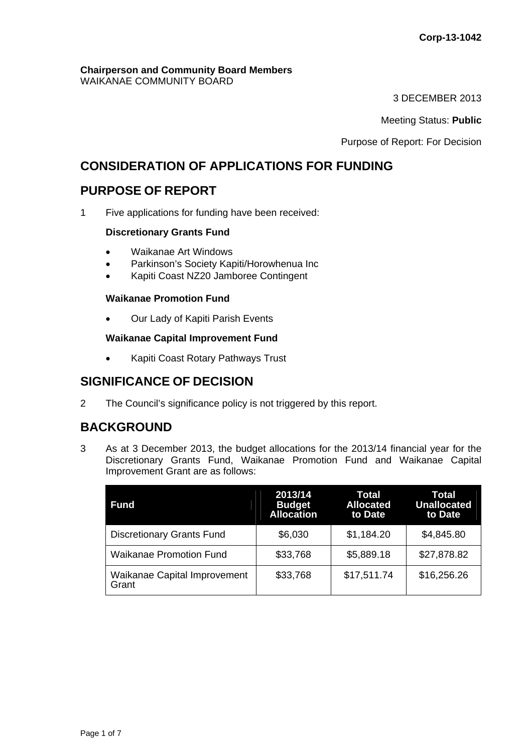#### **Chairperson and Community Board Members** WAIKANAE COMMUNITY BOARD

3 DECEMBER 2013

Meeting Status: **Public**

Purpose of Report: For Decision

# **CONSIDERATION OF APPLICATIONS FOR FUNDING**

# **PURPOSE OF REPORT**

1 Five applications for funding have been received:

## **Discretionary Grants Fund**

- Waikanae Art Windows
- Parkinson's Society Kapiti/Horowhenua Inc
- Kapiti Coast NZ20 Jamboree Contingent

## **Waikanae Promotion Fund**

Our Lady of Kapiti Parish Events

### **Waikanae Capital Improvement Fund**

• Kapiti Coast Rotary Pathways Trust

# **SIGNIFICANCE OF DECISION**

2 The Council's significance policy is not triggered by this report.

# **BACKGROUND**

3 As at 3 December 2013, the budget allocations for the 2013/14 financial year for the Discretionary Grants Fund, Waikanae Promotion Fund and Waikanae Capital Improvement Grant are as follows:

| <b>Fund</b>                                  | 2013/14<br><b>Budget</b><br><b>Allocation</b> | Total<br><b>Allocated</b><br>to Date | Total<br><b>Unallocated</b><br>to Date |
|----------------------------------------------|-----------------------------------------------|--------------------------------------|----------------------------------------|
| <b>Discretionary Grants Fund</b>             | \$6,030                                       | \$1,184.20                           | \$4,845.80                             |
| <b>Waikanae Promotion Fund</b>               | \$33,768                                      | \$5,889.18                           | \$27,878.82                            |
| <b>Waikanae Capital Improvement</b><br>Grant | \$33,768                                      | \$17,511.74                          | \$16,256.26                            |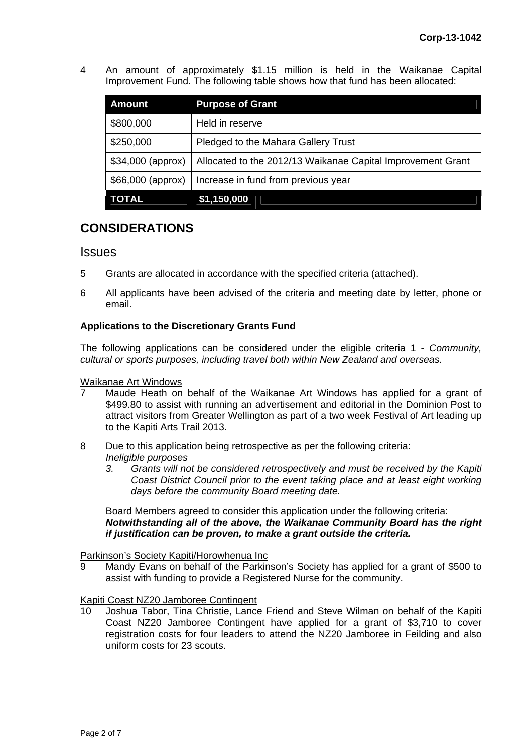4 An amount of approximately \$1.15 million is held in the Waikanae Capital Improvement Fund. The following table shows how that fund has been allocated:

| <b>Amount</b>     | <b>Purpose of Grant</b>                                     |
|-------------------|-------------------------------------------------------------|
| \$800,000         | Held in reserve                                             |
| \$250,000         | Pledged to the Mahara Gallery Trust                         |
| \$34,000 (approx) | Allocated to the 2012/13 Waikanae Capital Improvement Grant |
| \$66,000 (approx) | Increase in fund from previous year                         |
| <b>TOTAL</b>      | \$1,150,000                                                 |

# **CONSIDERATIONS**

## **Issues**

- 5 Grants are allocated in accordance with the specified criteria (attached).
- 6 All applicants have been advised of the criteria and meeting date by letter, phone or email.

## **Applications to the Discretionary Grants Fund**

The following applications can be considered under the eligible criteria 1 - *Community, cultural or sports purposes, including travel both within New Zealand and overseas.* 

### Waikanae Art Windows

- Maude Heath on behalf of the Waikanae Art Windows has applied for a grant of \$499.80 to assist with running an advertisement and editorial in the Dominion Post to attract visitors from Greater Wellington as part of a two week Festival of Art leading up to the Kapiti Arts Trail 2013.
- 8 Due to this application being retrospective as per the following criteria: *Ineligible purposes* 
	- *3. Grants will not be considered retrospectively and must be received by the Kapiti Coast District Council prior to the event taking place and at least eight working days before the community Board meeting date.*

Board Members agreed to consider this application under the following criteria: *Notwithstanding all of the above, the Waikanae Community Board has the right if justification can be proven, to make a grant outside the criteria.* 

#### Parkinson's Society Kapiti/Horowhenua Inc

9 Mandy Evans on behalf of the Parkinson's Society has applied for a grant of \$500 to assist with funding to provide a Registered Nurse for the community.

## Kapiti Coast NZ20 Jamboree Contingent

10 Joshua Tabor, Tina Christie, Lance Friend and Steve Wilman on behalf of the Kapiti Coast NZ20 Jamboree Contingent have applied for a grant of \$3,710 to cover registration costs for four leaders to attend the NZ20 Jamboree in Feilding and also uniform costs for 23 scouts.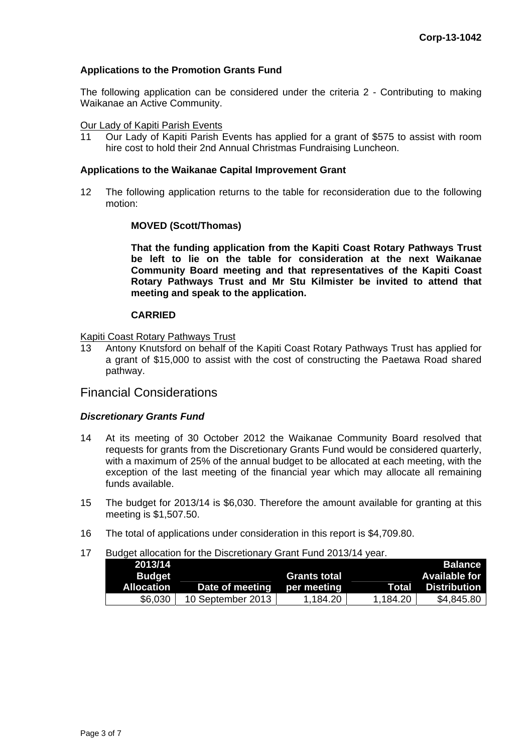### **Applications to the Promotion Grants Fund**

The following application can be considered under the criteria 2 - Contributing to making Waikanae an Active Community.

#### Our Lady of Kapiti Parish Events

11 Our Lady of Kapiti Parish Events has applied for a grant of \$575 to assist with room hire cost to hold their 2nd Annual Christmas Fundraising Luncheon.

#### **Applications to the Waikanae Capital Improvement Grant**

12 The following application returns to the table for reconsideration due to the following motion:

#### **MOVED (Scott/Thomas)**

**That the funding application from the Kapiti Coast Rotary Pathways Trust be left to lie on the table for consideration at the next Waikanae Community Board meeting and that representatives of the Kapiti Coast Rotary Pathways Trust and Mr Stu Kilmister be invited to attend that meeting and speak to the application.** 

#### **CARRIED**

#### Kapiti Coast Rotary Pathways Trust

13 Antony Knutsford on behalf of the Kapiti Coast Rotary Pathways Trust has applied for a grant of \$15,000 to assist with the cost of constructing the Paetawa Road shared pathway.

## Financial Considerations

#### *Discretionary Grants Fund*

- 14 At its meeting of 30 October 2012 the Waikanae Community Board resolved that requests for grants from the Discretionary Grants Fund would be considered quarterly, with a maximum of 25% of the annual budget to be allocated at each meeting, with the exception of the last meeting of the financial year which may allocate all remaining funds available.
- 15 The budget for 2013/14 is \$6,030. Therefore the amount available for granting at this meeting is \$1,507.50.
- 16 The total of applications under consideration in this report is \$4,709.80.

#### 17 Budget allocation for the Discretionary Grant Fund 2013/14 year.

| 2013/14           |                   |                     |          | <b>Balance</b>       |
|-------------------|-------------------|---------------------|----------|----------------------|
| <b>Budget</b>     |                   | <b>Grants total</b> |          | <b>Available for</b> |
| <b>Allocation</b> | Date of meeting   | per meeting         | Total    | <b>Distribution</b>  |
| \$6,030           | 10 September 2013 | 1.184.20            | 1.184.20 | \$4,845.80           |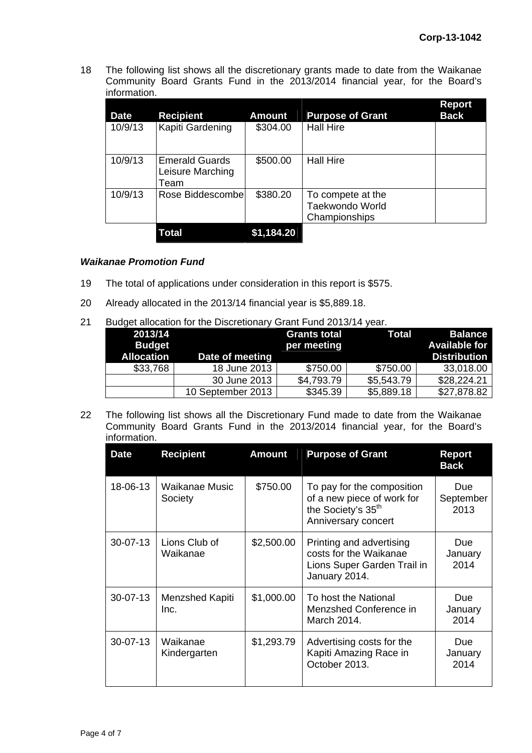18 The following list shows all the discretionary grants made to date from the Waikanae Community Board Grants Fund in the 2013/2014 financial year, for the Board's information.

| <b>Date</b> | <b>Recipient</b>                                  | <b>Amount</b> | <b>Purpose of Grant</b>                               | <b>Report</b><br><b>Back</b> |
|-------------|---------------------------------------------------|---------------|-------------------------------------------------------|------------------------------|
| 10/9/13     | Kapiti Gardening                                  | \$304.00      | <b>Hall Hire</b>                                      |                              |
| 10/9/13     | <b>Emerald Guards</b><br>Leisure Marching<br>Team | \$500.00      | <b>Hall Hire</b>                                      |                              |
| 10/9/13     | Rose Biddescombel                                 | \$380.20      | To compete at the<br>Taekwondo World<br>Championships |                              |
|             | Total                                             | \$1,184.20    |                                                       |                              |

### *Waikanae Promotion Fund*

- 19 The total of applications under consideration in this report is \$575.
- 20 Already allocated in the 2013/14 financial year is \$5,889.18.
- 21 Budget allocation for the Discretionary Grant Fund 2013/14 year.

| 2013/14<br><b>Budget</b><br><b>Allocation</b> | Date of meeting   | <b>Grants total</b><br>per meeting | Total      | <b>Balance</b><br><b>Available for</b><br><b>Distribution</b> |
|-----------------------------------------------|-------------------|------------------------------------|------------|---------------------------------------------------------------|
| \$33,768                                      | 18 June 2013      | \$750.00                           | \$750.00   | 33,018.00                                                     |
|                                               | 30 June 2013      | \$4,793.79                         | \$5,543.79 | \$28,224.21                                                   |
|                                               | 10 September 2013 | \$345.39                           | \$5,889.18 | \$27,878.82                                                   |

22 The following list shows all the Discretionary Fund made to date from the Waikanae Community Board Grants Fund in the 2013/2014 financial year, for the Board's information.

| <b>Date</b>    | <b>Recipient</b>          | <b>Amount</b> | <b>Purpose of Grant</b>                                                                                           | <b>Report</b><br><b>Back</b> |
|----------------|---------------------------|---------------|-------------------------------------------------------------------------------------------------------------------|------------------------------|
| 18-06-13       | Waikanae Music<br>Society | \$750.00      | To pay for the composition<br>of a new piece of work for<br>the Society's 35 <sup>th</sup><br>Anniversary concert | Due<br>September<br>2013     |
| $30 - 07 - 13$ | Lions Club of<br>Waikanae | \$2,500.00    | Printing and advertising<br>costs for the Waikanae<br>Lions Super Garden Trail in<br>January 2014.                | Due.<br>January<br>2014      |
| $30 - 07 - 13$ | Menzshed Kapiti<br>Inc.   | \$1,000.00    | To host the National<br>Menzshed Conference in<br>March 2014.                                                     | Due.<br>January<br>2014      |
| $30 - 07 - 13$ | Waikanae<br>Kindergarten  | \$1,293.79    | Advertising costs for the<br>Kapiti Amazing Race in<br>October 2013.                                              | Due<br>January<br>2014       |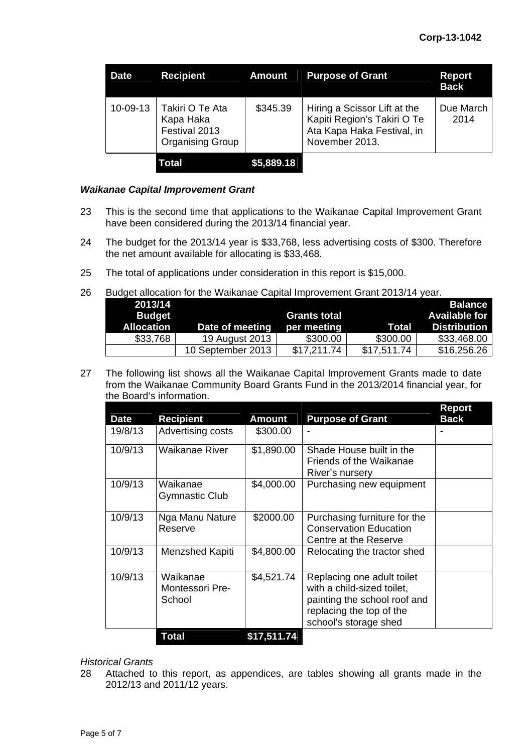| <b>Date</b> | <b>Recipient</b>                                                         | <b>Amount</b> | <b>Purpose of Grant</b>                                                                                     | <b>Report</b><br><b>Back</b> |
|-------------|--------------------------------------------------------------------------|---------------|-------------------------------------------------------------------------------------------------------------|------------------------------|
| 10-09-13    | Takiri O Te Ata<br>Kapa Haka<br>Festival 2013<br><b>Organising Group</b> | \$345.39      | Hiring a Scissor Lift at the<br>Kapiti Region's Takiri O Te<br>Ata Kapa Haka Festival, in<br>November 2013. | Due March<br>2014            |
|             | Total                                                                    | \$5,889.18    |                                                                                                             |                              |

### *Waikanae Capital Improvement Grant*

- 23 This is the second time that applications to the Waikanae Capital Improvement Grant have been considered during the 2013/14 financial year.
- 24 The budget for the 2013/14 year is \$33,768, less advertising costs of \$300. Therefore the net amount available for allocating is \$33,468.
- 25 The total of applications under consideration in this report is \$15,000.
- 26 Budget allocation for the Waikanae Capital Improvement Grant 2013/14 year.

| 2013/14           |                   |                     |             | <b>Balance</b>       |
|-------------------|-------------------|---------------------|-------------|----------------------|
| <b>Budget</b>     |                   | <b>Grants total</b> |             | <b>Available for</b> |
| <b>Allocation</b> | Date of meeting   | per meeting         | Total       | <b>Distribution</b>  |
| \$33,768          | 19 August 2013    | \$300.00            | \$300.00    | \$33,468.00          |
|                   | 10 September 2013 | \$17,211.74         | \$17,511.74 | \$16,256.26          |

27 The following list shows all the Waikanae Capital Improvement Grants made to date from the Waikanae Community Board Grants Fund in the 2013/2014 financial year, for the Board's information.

| <b>Date</b> | <b>Recipient</b>                      | <b>Amount</b> | <b>Purpose of Grant</b>                                                                                                                       | Report<br><b>Back</b> |
|-------------|---------------------------------------|---------------|-----------------------------------------------------------------------------------------------------------------------------------------------|-----------------------|
| 19/8/13     | Advertising costs                     | \$300.00      |                                                                                                                                               |                       |
| 10/9/13     | Waikanae River                        | \$1,890.00    | Shade House built in the<br>Friends of the Waikanae<br>River's nursery                                                                        |                       |
| 10/9/13     | Waikanae<br>Gymnastic Club            | \$4,000.00    | Purchasing new equipment                                                                                                                      |                       |
| 10/9/13     | Nga Manu Nature<br>Reserve            | \$2000.00     | Purchasing furniture for the<br><b>Conservation Education</b><br>Centre at the Reserve                                                        |                       |
| 10/9/13     | Menzshed Kapiti                       | \$4,800.00    | Relocating the tractor shed                                                                                                                   |                       |
| 10/9/13     | Waikanae<br>Montessori Pre-<br>School | \$4,521.74    | Replacing one adult toilet<br>with a child-sized toilet,<br>painting the school roof and<br>replacing the top of the<br>school's storage shed |                       |
|             | <b>Total</b>                          | \$17,511.74   |                                                                                                                                               |                       |

#### *Historical Grants*

28 Attached to this report, as appendices, are tables showing all grants made in the 2012/13 and 2011/12 years.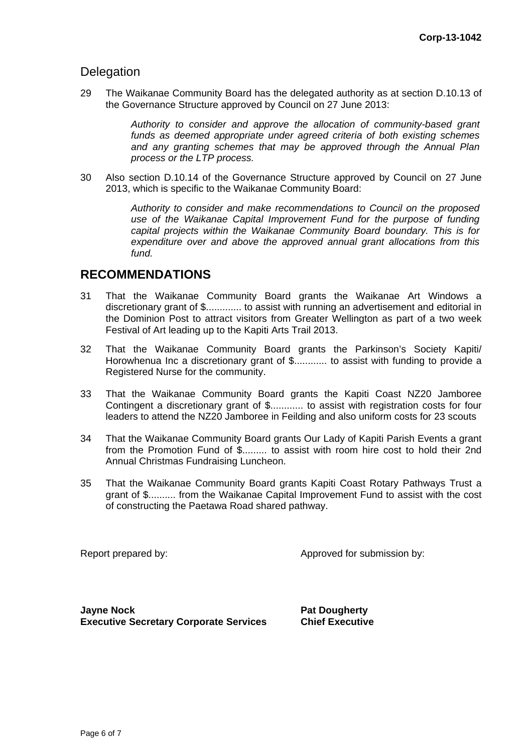## **Delegation**

29 The Waikanae Community Board has the delegated authority as at section D.10.13 of the Governance Structure approved by Council on 27 June 2013:

> *Authority to consider and approve the allocation of community-based grant funds as deemed appropriate under agreed criteria of both existing schemes and any granting schemes that may be approved through the Annual Plan process or the LTP process.*

30 Also section D.10.14 of the Governance Structure approved by Council on 27 June 2013, which is specific to the Waikanae Community Board:

> *Authority to consider and make recommendations to Council on the proposed use of the Waikanae Capital Improvement Fund for the purpose of funding capital projects within the Waikanae Community Board boundary. This is for expenditure over and above the approved annual grant allocations from this fund.*

## **RECOMMENDATIONS**

- 31 That the Waikanae Community Board grants the Waikanae Art Windows a discretionary grant of \$............. to assist with running an advertisement and editorial in the Dominion Post to attract visitors from Greater Wellington as part of a two week Festival of Art leading up to the Kapiti Arts Trail 2013.
- 32 That the Waikanae Community Board grants the Parkinson's Society Kapiti/ Horowhenua Inc a discretionary grant of \$............. to assist with funding to provide a Registered Nurse for the community.
- 33 That the Waikanae Community Board grants the Kapiti Coast NZ20 Jamboree Contingent a discretionary grant of \$............ to assist with registration costs for four leaders to attend the NZ20 Jamboree in Feilding and also uniform costs for 23 scouts
- 34 That the Waikanae Community Board grants Our Lady of Kapiti Parish Events a grant from the Promotion Fund of \$......... to assist with room hire cost to hold their 2nd Annual Christmas Fundraising Luncheon.
- 35 That the Waikanae Community Board grants Kapiti Coast Rotary Pathways Trust a grant of \$.......... from the Waikanae Capital Improvement Fund to assist with the cost of constructing the Paetawa Road shared pathway.

Report prepared by: Approved for submission by:

**Jayne Nock** <br>Executive Secretary Corporate Services **Pat Dougherty Executive Secretary Corporate Services**